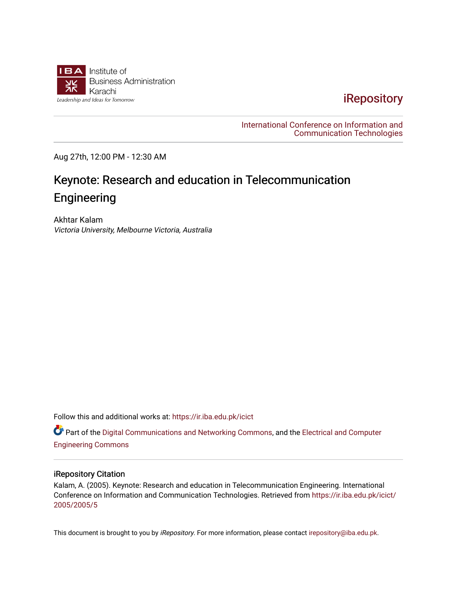

### **iRepository**

[International Conference on Information and](https://ir.iba.edu.pk/icict)  [Communication Technologies](https://ir.iba.edu.pk/icict) 

Aug 27th, 12:00 PM - 12:30 AM

## Keynote: Research and education in Telecommunication Engineering

Akhtar Kalam Victoria University, Melbourne Victoria, Australia

Follow this and additional works at: [https://ir.iba.edu.pk/icict](https://ir.iba.edu.pk/icict?utm_source=ir.iba.edu.pk%2Ficict%2F2005%2F2005%2F5&utm_medium=PDF&utm_campaign=PDFCoverPages) 

Part of the [Digital Communications and Networking Commons,](http://network.bepress.com/hgg/discipline/262?utm_source=ir.iba.edu.pk%2Ficict%2F2005%2F2005%2F5&utm_medium=PDF&utm_campaign=PDFCoverPages) and the [Electrical and Computer](http://network.bepress.com/hgg/discipline/266?utm_source=ir.iba.edu.pk%2Ficict%2F2005%2F2005%2F5&utm_medium=PDF&utm_campaign=PDFCoverPages) [Engineering Commons](http://network.bepress.com/hgg/discipline/266?utm_source=ir.iba.edu.pk%2Ficict%2F2005%2F2005%2F5&utm_medium=PDF&utm_campaign=PDFCoverPages) 

#### iRepository Citation

Kalam, A. (2005). Keynote: Research and education in Telecommunication Engineering. International Conference on Information and Communication Technologies. Retrieved from [https://ir.iba.edu.pk/icict/](https://ir.iba.edu.pk/icict/2005/2005/5?utm_source=ir.iba.edu.pk%2Ficict%2F2005%2F2005%2F5&utm_medium=PDF&utm_campaign=PDFCoverPages) [2005/2005/5](https://ir.iba.edu.pk/icict/2005/2005/5?utm_source=ir.iba.edu.pk%2Ficict%2F2005%2F2005%2F5&utm_medium=PDF&utm_campaign=PDFCoverPages) 

This document is brought to you by iRepository. For more information, please contact [irepository@iba.edu.pk](mailto:irepository@iba.edu.pk).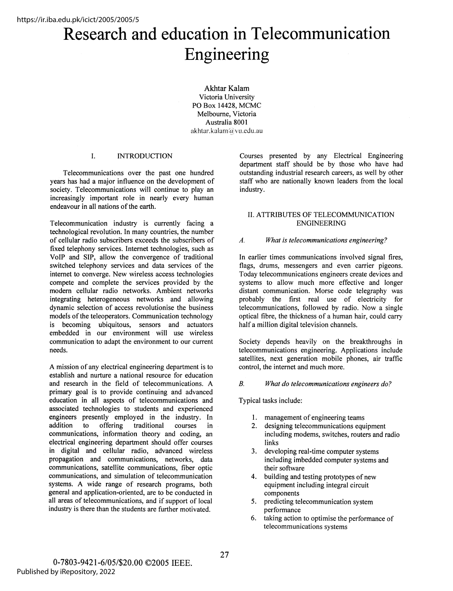# Research and education in Telecommunication Engineering

Akhtar Kalam Victoria University PO Box 14428, MCMC Melbourne, Victoria Australia 8001 akhtar.kalam@vu.edu.au

#### I. INTRODUCTION

Telecommunications over the past one hundred years has had a major influence on the development of society. Telecommunications will continue to play an increasingly important role in nearly every human endeavour in all nations of the earth.

Telecommunication industry is currently facing a technological revolution. In many countries, the number of cellular radio subscribers exceeds the subscribers of fixed telephony services. Internet technologies, such as VoIP and SIP, allow the convergence of traditional switched telephony services and data services of the internet to converge. New wireless access technologies compete and complete the services provided by the modern cellular radio networks. Ambient networks integrating heterogeneous networks and allowing dynamic selection of access revolutionise the business models of the teleoperators. Communication technology is becoming ubiquitous, sensors and actuators embedded in our environment will use wireless communication to adapt the environment to our current needs.

A mission of any electrical engineering department is to establish and nurture a national resource for education and research in the field of telecommunications. A primary goal is to provide continuing and advanced education in all aspects of telecommunications and associated technologies to students and experienced engineers presently employed in the industry. In addition to offering traditional courses in communications, information theory and coding, an electrical engineering department should offer courses in digital and cellular radio, advanced wireless propagation and communications, networks, data communications, satellite communications, fiber optic communications, and simulation of telecommunication systems. A wide range of research programs, both general and application-oriented, are to be conducted in all areas of telecommunications, and if support of local industry is there than the students are further motivated.

Courses presented by any Electrical Engineering department staff should be by those who have had outstanding industrial research careers, as well by other staff who are nationally known leaders from the local industry.

#### II. ATTRIBUTES OF TELECOMMUNICATION ENGINEERING

#### A. What is telecommunications engineering?

In earlier times communications involved signal fires, flags, drums, messengers and even carrier pigeons. Today telecommunications engineers create devices and systems to allow much more effective and longer distant communication. Morse code telegraphy was probably the first real use of electricity for telecommunications, followed by radio. Now <sup>a</sup> single optical fibre, the thickness of a human hair, could carry half a million digital television channels.

Society depends heavily on the breakthroughs in telecommunications engineering. Applications include satellites, next generation mobile phones, air traffic control, the internet and much more.

#### B. What do telecommunications engineers do?

Typical tasks include:

- 1. management of engineering teams
- 2. designing telecommunications equipment including modems, switches, routers and radio links
- 3. developing real-time computer systems including imbedded computer systems and their software
- 4. building and testing prototypes of new equipment including integral circuit components
- 5. predicting telecommunication system performance
- 6. taking action to optimise the performance of telecommunications systems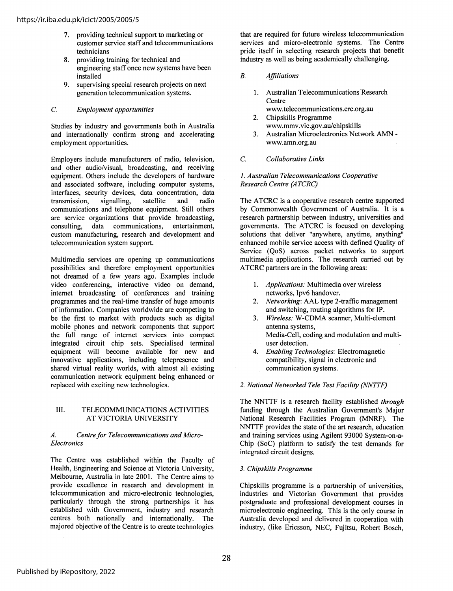- 7. providing technical support to marketing or customer service staff and telecommunications technicians
- 8. providing training for technical and engineering staff once new systems have been installed
- 9. supervising special research projects on next generation telecommunication systems.

#### C. Employment opportunities

Studies by industry and governments both in Australia and internationally confirm strong and accelerating employment opportunities.

Employers include manufacturers of radio, television, and other audio/visual, broadcasting, and receiving equipment. Others include the developers of hardware and associated software, including computer systems, interfaces, security devices, data concentration, data transmission, signalling, satellite and radio transmission, signalling, satellite and radio communications and telephone equipment. Still others are service organizations that provide broadcasting, consulting, data communications, entertainment, custom manufacturing, research and development and telecommunication system support.

Multimedia services are opening up communications possibilities and therefore employment opportunities not dreamed of a few years ago. Examples include video conferencing, interactive video on demand, internet broadcasting of conferences and training programmes and the real-time transfer of huge amounts of information. Companies worldwide are competing to be the first to market with products such as digital mobile phones and network components that support the full range of internet services into compact integrated circuit chip sets. Specialised terminal equipment will become available for new and innovative applications, including telepresence and shared virtual reality worlds, with almost all existing communication network equipment being enhanced or replaced with exciting new technologies.

#### III. TELECOMMUNICATIONS ACTIVITIES AT VICTORIA UNIVERSITY

#### A. Centre for Telecommunications and Micro-Electronics

The Centre was established within the Faculty of Health, Engineering and Science at Victoria University, Melbourne, Australia in late 2001. The Centre aims to provide excellence in research and development in telecommunication and micro-electronic technologies, particularly through the strong partnerships it has established with Government, industry and research centres both nationally and internationally. The majored objective of the Centre is to create technologies

that are required for future wireless telecommunication services and micro-electronic systems. The Centre pride itself in selecting research projects that benefit industry as well as being academically challenging.

- B. Affiliations
	- 1. Australian Telecommunications 'Research Centre
	- www.telecommunications.crc.org.au 2. Chipskills Programme
	- www.mmv.vic.gov.au/chipskills
	- 3. Australian Microelectronics Network AMN www.amn.org.au

#### C. Collaborative Links

#### 1. Australian Telecommunications Cooperative Research Centre (A TCRC)

The ATCRC is <sup>a</sup> cooperative research centre supported by Commonwealth Government of Australia. It is a research partnership between industry, universities and governments. The ATCRC is focused on developing solutions that deliver "anywhere, anytime, anything" enhanced mobile service access with defined Quality of Service (QoS) across packet networks to support multimedia applications. The research carried out by ATCRC partners are in the following areas:

- 1. Applications: Multimedia over wireless networks, Ipv6 handover.
- 2. Networking: AAL type 2-traffic management and switching, routing algorithms for IP.
- 3. Wireless: W-CDMA scanner, Multi-element antenna systems, Media-Cell, coding and modulation and multiuser detection.
- 4. Enabling Technologies: Electromagnetic compatibility, signal in electronic and communication systems.

#### 2. National Networked Tele Test Facility (NN7TF)

The NNTTF is a research facility established through funding through the Australian Government's Major National Research Facilities Program (MNRF). The NNTTF provides the state of the art research, education and training services using Agilent 93000 System-on-a-Chip (SoC) platform to satisfy the test demands for integrated circuit designs.

#### 3. Chipskills Programme

Chipskills programme is a partnership of universities, industries and Victorian Government that provides postgraduate and professional development courses in microelectronic engineering. This is the only course in Australia developed and delivered in cooperation with industry, (like Ericsson, NEC, Fujitsu, Robert Bosch,